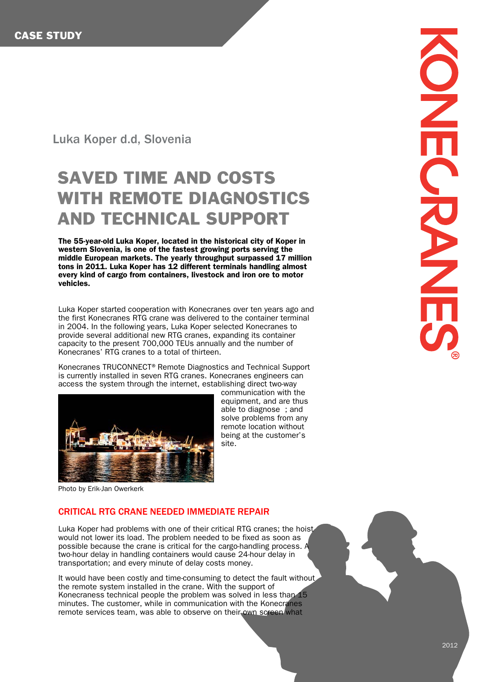## Luka Koper d.d, Slovenia

## SAVED TIME AND COSTS WITH REMOTE DIAGNOSTICS AND TECHNICAL SUPPORT

The 55-year-old Luka Koper, located in the historical city of Koper in western Slovenia, is one of the fastest growing ports serving the middle European markets. The yearly throughput surpassed 17 million tons in 2011. Luka Koper has 12 different terminals handling almost every kind of cargo from containers, livestock and iron ore to motor vehicles.

Luka Koper started cooperation with Konecranes over ten years ago and the first Konecranes RTG crane was delivered to the container terminal in 2004. In the following years, Luka Koper selected Konecranes to provide several additional new RTG cranes, expanding its container capacity to the present 700,000 TEUs annually and the number of Konecranes' RTG cranes to a total of thirteen.

Konecranes TRUCONNECT<sup>®</sup> Remote Diagnostics and Technical Support is currently installed in seven RTG cranes. Konecranes engineers can access the system through the internet, establishing direct two-way



communication with the equipment, and are thus able to diagnose ; and solve problems from any remote location without being at the customer's site.

Photo by Erik-Jan Owerkerk

## CRITICAL RTG CRANE NEEDED IMMEDIATE REPAIR

Luka Koper had problems with one of their critical RTG cranes; the hoist would not lower its load. The problem needed to be fixed as soon as possible because the crane is critical for the cargo-handling process. A two-hour delay in handling containers would cause 24-hour delay in transportation; and every minute of delay costs money.

It would have been costly and time-consuming to detect the fault without. the remote system installed in the crane. With the support of Konecraness technical people the problem was solved in less than 15 minutes. The customer, while in communication with the Konecranes remote services team, was able to observe on their own screen what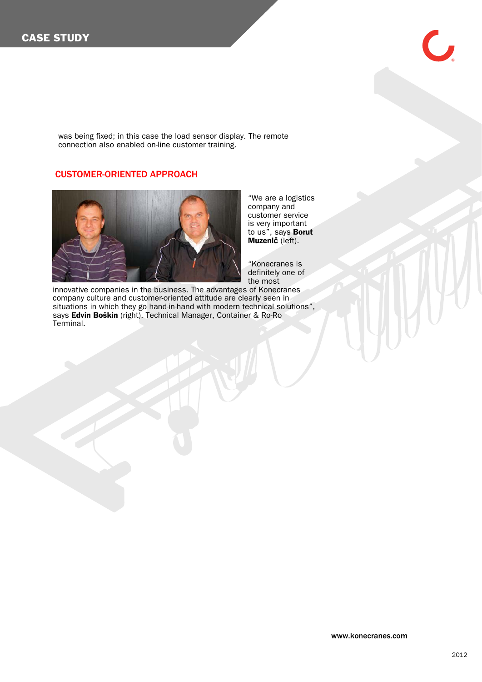$\overline{\phantom{a}}$ 

was being fixed; in this case the load sensor display. The remote connection also enabled on-line customer training.

## CUSTOMER-ORIENTED APPROACH



"We are a logistics company and customer service is very important to us", says **Borut** Muzeni**č** (left).

"Konecranes is definitely one of the most

innovative companies in the business. The advantages of Konecranes company culture and customer-oriented attitude are clearly seen in situations in which they go hand-in-hand with modern technical solutions", says Edvin Boškin (right), Technical Manager, Container & Ro-Ro Terminal.